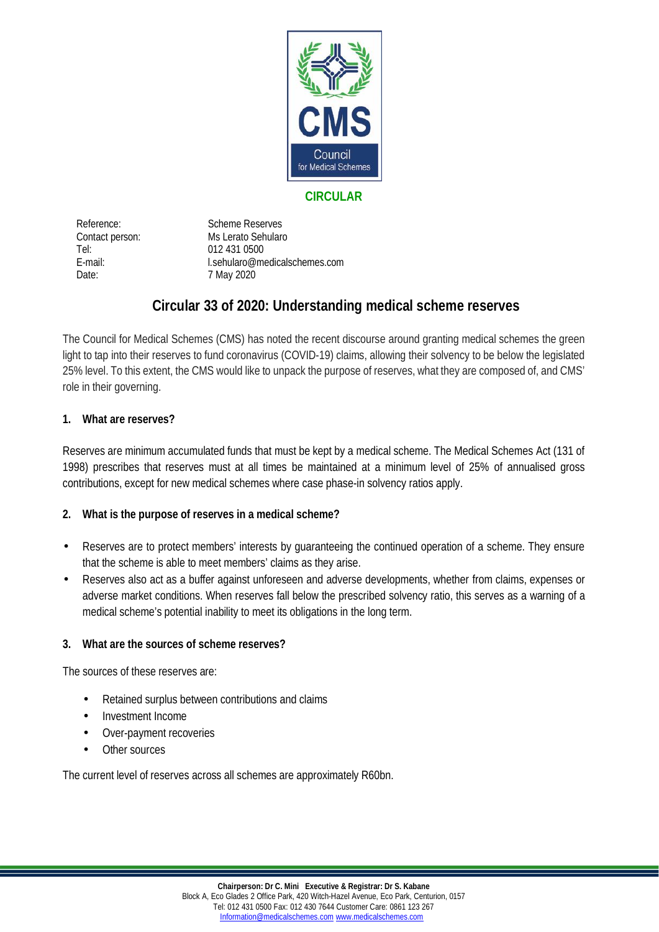

Tel: 012 431 0500<br>
F-mail: Computer Lisebularo@m

Reference: Scheme Reserves Contact person: Ms Lerato Sehularo E-mail:<br>
Date: l.sehularo@medicalschemes.com<br>
7 May 2020 7 May 2020

## **Circular 33 of 2020: Understanding medical scheme reserves**

The Council for Medical Schemes (CMS) has noted the recent discourse around granting medical schemes the green light to tap into their reserves to fund coronavirus (COVID-19) claims, allowing their solvency to be below the legislated 25% level. To this extent, the CMS would like to unpack the purpose of reserves, what they are composed of, and CMS' role in their governing.

## **1. What are reserves?**

Reserves are minimum accumulated funds that must be kept by a medical scheme. The Medical Schemes Act (131 of 1998) prescribes that reserves must at all times be maintained at a minimum level of 25% of annualised gross contributions, except for new medical schemes where case phase-in solvency ratios apply.

- **2. What is the purpose of reserves in a medical scheme?**
- Reserves are to protect members' interests by guaranteeing the continued operation of a scheme. They ensure that the scheme is able to meet members' claims as they arise.
- Reserves also act as a buffer against unforeseen and adverse developments, whether from claims, expenses or adverse market conditions. When reserves fall below the prescribed solvency ratio, this serves as a warning of a medical scheme's potential inability to meet its obligations in the long term.
- **3. What are the sources of scheme reserves?**

The sources of these reserves are:

- Retained surplus between contributions and claims
- Investment Income  $\overline{a}$
- Over-payment recoveries
- Other sources

The current level of reserves across all schemes are approximately R60bn.